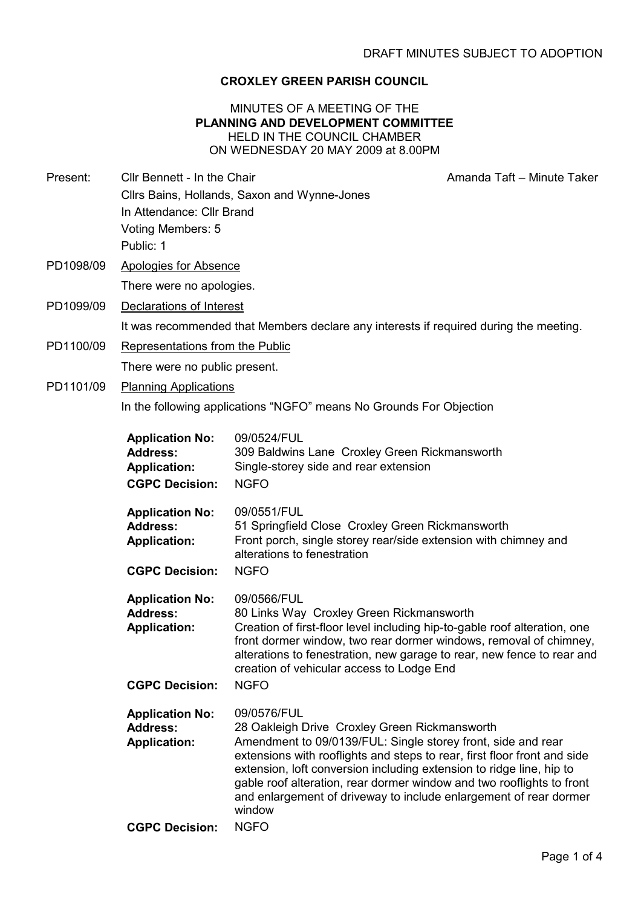#### CROXLEY GREEN PARISH COUNCIL

#### MINUTES OF A MEETING OF THE PLANNING AND DEVELOPMENT COMMITTEE HELD IN THE COUNCIL CHAMBER ON WEDNESDAY 20 MAY 2009 at 8.00PM

Present: Cllr Bennett - In the Chair Amanda Taft – Minute Taker

- Cllrs Bains, Hollands, Saxon and Wynne-Jones In Attendance: Cllr Brand Voting Members: 5 Public: 1
- PD1098/09 Apologies for Absence There were no apologies.
- PD1099/09 Declarations of Interest

It was recommended that Members declare any interests if required during the meeting.

- PD1100/09 Representations from the Public There were no public present.
- PD1101/09 Planning Applications

In the following applications "NGFO" means No Grounds For Objection

| <b>Application No:</b><br><b>Address:</b><br><b>Application:</b><br><b>CGPC Decision:</b> | 09/0524/FUL<br>309 Baldwins Lane Croxley Green Rickmansworth<br>Single-storey side and rear extension<br><b>NGFO</b>                                                                                                                                                                                                                                                                                                                     |
|-------------------------------------------------------------------------------------------|------------------------------------------------------------------------------------------------------------------------------------------------------------------------------------------------------------------------------------------------------------------------------------------------------------------------------------------------------------------------------------------------------------------------------------------|
| <b>Application No:</b><br><b>Address:</b><br><b>Application:</b><br><b>CGPC Decision:</b> | 09/0551/FUL<br>51 Springfield Close Croxley Green Rickmansworth<br>Front porch, single storey rear/side extension with chimney and<br>alterations to fenestration<br><b>NGFO</b>                                                                                                                                                                                                                                                         |
| <b>Application No:</b><br><b>Address:</b><br><b>Application:</b><br><b>CGPC Decision:</b> | 09/0566/FUL<br>80 Links Way Croxley Green Rickmansworth<br>Creation of first-floor level including hip-to-gable roof alteration, one<br>front dormer window, two rear dormer windows, removal of chimney,<br>alterations to fenestration, new garage to rear, new fence to rear and<br>creation of vehicular access to Lodge End<br><b>NGFO</b>                                                                                          |
| <b>Application No:</b><br><b>Address:</b><br><b>Application:</b>                          | 09/0576/FUL<br>28 Oakleigh Drive Croxley Green Rickmansworth<br>Amendment to 09/0139/FUL: Single storey front, side and rear<br>extensions with rooflights and steps to rear, first floor front and side<br>extension, loft conversion including extension to ridge line, hip to<br>gable roof alteration, rear dormer window and two rooflights to front<br>and enlargement of driveway to include enlargement of rear dormer<br>window |
| <b>CGPC Decision:</b>                                                                     | <b>NGFO</b>                                                                                                                                                                                                                                                                                                                                                                                                                              |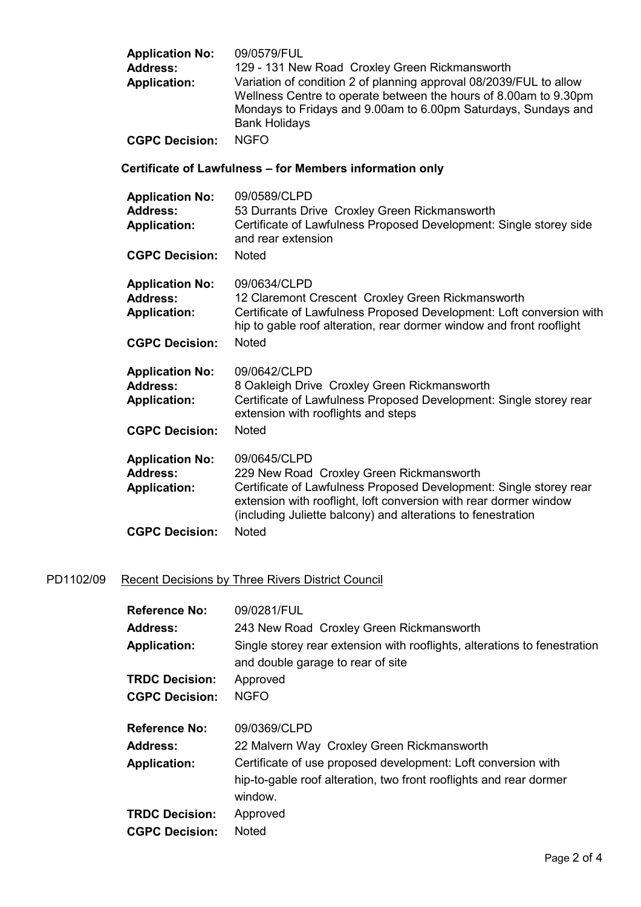| <b>Application No:</b> | 09/0579/FUL                                                                                                                                                                                                                      |
|------------------------|----------------------------------------------------------------------------------------------------------------------------------------------------------------------------------------------------------------------------------|
| <b>Address:</b>        | 129 - 131 New Road Croxley Green Rickmansworth                                                                                                                                                                                   |
| <b>Application:</b>    | Variation of condition 2 of planning approval 08/2039/FUL to allow<br>Wellness Centre to operate between the hours of 8.00am to 9.30pm<br>Mondays to Fridays and 9.00am to 6.00pm Saturdays, Sundays and<br><b>Bank Holidays</b> |
| <b>CGPC Decision:</b>  | NGFO.                                                                                                                                                                                                                            |

### Certificate of Lawfulness – for Members information only

| <b>Application No:</b><br><b>Address:</b><br><b>Application:</b><br><b>CGPC Decision:</b> | 09/0589/CLPD<br>53 Durrants Drive Croxley Green Rickmansworth<br>Certificate of Lawfulness Proposed Development: Single storey side<br>and rear extension<br><b>Noted</b>                                                                                           |
|-------------------------------------------------------------------------------------------|---------------------------------------------------------------------------------------------------------------------------------------------------------------------------------------------------------------------------------------------------------------------|
|                                                                                           |                                                                                                                                                                                                                                                                     |
| <b>Application No:</b><br><b>Address:</b><br><b>Application:</b>                          | 09/0634/CLPD<br>12 Claremont Crescent Croxley Green Rickmansworth<br>Certificate of Lawfulness Proposed Development: Loft conversion with<br>hip to gable roof alteration, rear dormer window and front rooflight                                                   |
| <b>CGPC Decision:</b>                                                                     | <b>Noted</b>                                                                                                                                                                                                                                                        |
| <b>Application No:</b><br><b>Address:</b><br><b>Application:</b><br><b>CGPC Decision:</b> | 09/0642/CLPD<br>8 Oakleigh Drive Croxley Green Rickmansworth<br>Certificate of Lawfulness Proposed Development: Single storey rear<br>extension with rooflights and steps<br><b>Noted</b>                                                                           |
|                                                                                           |                                                                                                                                                                                                                                                                     |
| <b>Application No:</b><br><b>Address:</b><br><b>Application:</b>                          | 09/0645/CLPD<br>229 New Road Croxley Green Rickmansworth<br>Certificate of Lawfulness Proposed Development: Single storey rear<br>extension with rooflight, loft conversion with rear dormer window<br>(including Juliette balcony) and alterations to fenestration |
| <b>CGPC Decision:</b>                                                                     | Noted                                                                                                                                                                                                                                                               |

# PD1102/09 Recent Decisions by Three Rivers District Council

| <b>Reference No:</b>  | 09/0281/FUL                                                                                                    |
|-----------------------|----------------------------------------------------------------------------------------------------------------|
| <b>Address:</b>       | 243 New Road Croxley Green Rickmansworth                                                                       |
| <b>Application:</b>   | Single storey rear extension with rooflights, alterations to fenestration<br>and double garage to rear of site |
| <b>TRDC Decision:</b> | Approved                                                                                                       |
| <b>CGPC Decision:</b> | <b>NGFO</b>                                                                                                    |
| <b>Reference No:</b>  | 09/0369/CLPD                                                                                                   |
| <b>Address:</b>       | 22 Malvern Way Croxley Green Rickmansworth                                                                     |
| <b>Application:</b>   | Certificate of use proposed development: Loft conversion with                                                  |
|                       | hip-to-gable roof alteration, two front rooflights and rear dormer<br>window.                                  |
| <b>TRDC Decision:</b> | Approved                                                                                                       |
| <b>CGPC Decision:</b> | <b>Noted</b>                                                                                                   |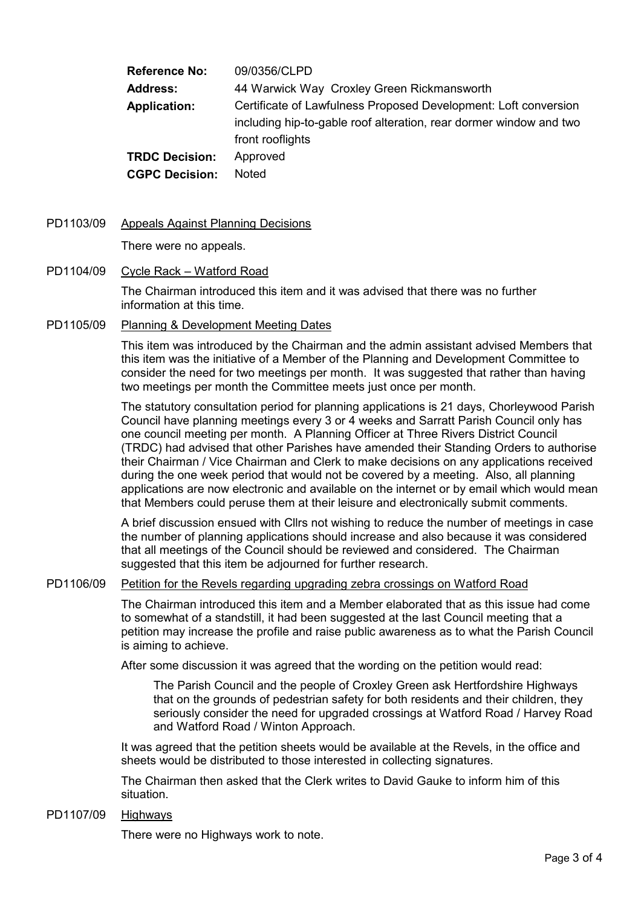Reference No: 09/0356/CLPD Address: 44 Warwick Way Croxley Green Rickmansworth Application: Certificate of Lawfulness Proposed Development: Loft conversion including hip-to-gable roof alteration, rear dormer window and two front rooflights TRDC Decision: Approved CGPC Decision: Noted

PD1103/09 Appeals Against Planning Decisions

There were no appeals.

#### PD1104/09 Cycle Rack – Watford Road

The Chairman introduced this item and it was advised that there was no further information at this time.

PD1105/09 Planning & Development Meeting Dates

This item was introduced by the Chairman and the admin assistant advised Members that this item was the initiative of a Member of the Planning and Development Committee to consider the need for two meetings per month. It was suggested that rather than having two meetings per month the Committee meets just once per month.

The statutory consultation period for planning applications is 21 days, Chorleywood Parish Council have planning meetings every 3 or 4 weeks and Sarratt Parish Council only has one council meeting per month. A Planning Officer at Three Rivers District Council (TRDC) had advised that other Parishes have amended their Standing Orders to authorise their Chairman / Vice Chairman and Clerk to make decisions on any applications received during the one week period that would not be covered by a meeting. Also, all planning applications are now electronic and available on the internet or by email which would mean that Members could peruse them at their leisure and electronically submit comments.

A brief discussion ensued with Cllrs not wishing to reduce the number of meetings in case the number of planning applications should increase and also because it was considered that all meetings of the Council should be reviewed and considered. The Chairman suggested that this item be adjourned for further research.

#### PD1106/09 Petition for the Revels regarding upgrading zebra crossings on Watford Road

The Chairman introduced this item and a Member elaborated that as this issue had come to somewhat of a standstill, it had been suggested at the last Council meeting that a petition may increase the profile and raise public awareness as to what the Parish Council is aiming to achieve.

After some discussion it was agreed that the wording on the petition would read:

The Parish Council and the people of Croxley Green ask Hertfordshire Highways that on the grounds of pedestrian safety for both residents and their children, they seriously consider the need for upgraded crossings at Watford Road / Harvey Road and Watford Road / Winton Approach.

It was agreed that the petition sheets would be available at the Revels, in the office and sheets would be distributed to those interested in collecting signatures.

The Chairman then asked that the Clerk writes to David Gauke to inform him of this situation.

#### PD1107/09 Highways

There were no Highways work to note.